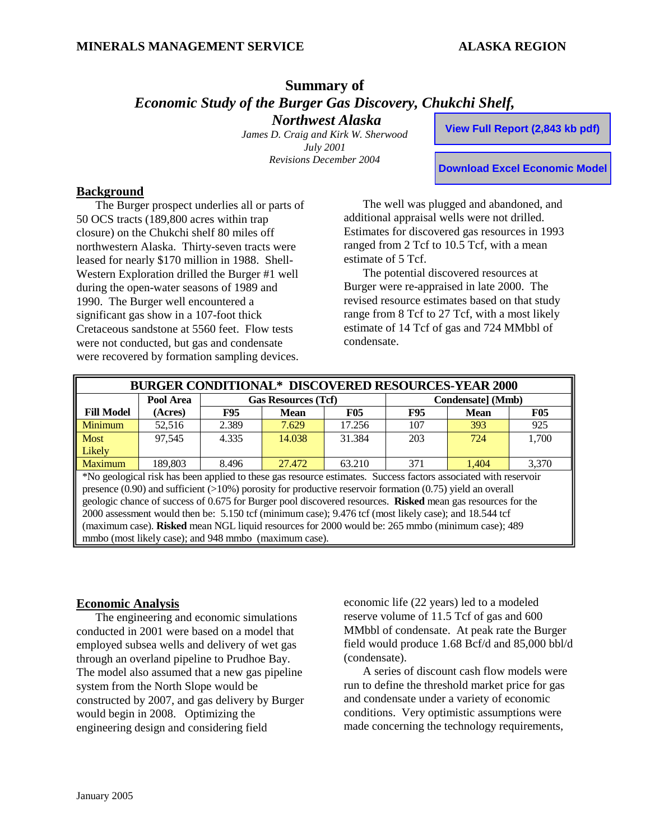## **Summary of**  *Economic Study of the Burger Gas Discovery, Chukchi Shelf, Northwest Alaska*

*James D. Craig and Kirk W. Sherwood July 2001 Revisions December 2004* 

**View Full Report (2,843 kb pdf)**

**Download Excel Economic Model**

#### **Background**

The Burger prospect underlies all or parts of 50 OCS tracts (189,800 acres within trap closure) on the Chukchi shelf 80 miles off northwestern Alaska. Thirty-seven tracts were leased for nearly \$170 million in 1988. Shell-Western Exploration drilled the Burger #1 well during the open-water seasons of 1989 and 1990. The Burger well encountered a significant gas show in a 107-foot thick Cretaceous sandstone at 5560 feet. Flow tests were not conducted, but gas and condensate were recovered by formation sampling devices.

The well was plugged and abandoned, and additional appraisal wells were not drilled. Estimates for discovered gas resources in 1993 ranged from 2 Tcf to 10.5 Tcf, with a mean estimate of 5 Tcf.

The potential discovered resources at Burger were re-appraised in late 2000. The revised resource estimates based on that study range from 8 Tcf to 27 Tcf, with a most likely estimate of 14 Tcf of gas and 724 MMbbl of condensate.

| <b>BURGER CONDITIONAL* DISCOVERED RESOURCES-YEAR 2000</b> |           |                            |        |            |                   |             |            |  |
|-----------------------------------------------------------|-----------|----------------------------|--------|------------|-------------------|-------------|------------|--|
|                                                           | Pool Area | <b>Gas Resources (Tcf)</b> |        |            | Condensate] (Mmb) |             |            |  |
| <b>Fill Model</b>                                         | (Acres)   | <b>F95</b>                 | Mean   | <b>F05</b> | <b>F95</b>        | <b>Mean</b> | <b>F05</b> |  |
| Minimum                                                   | 52.516    | 2.389                      | 7.629  | 17.256     | 107               | 393         | 925        |  |
| <b>Most</b>                                               | 97,545    | 4.335                      | 14.038 | 31.384     | 203               | 724         | 1,700      |  |
| Likely                                                    |           |                            |        |            |                   |             |            |  |
| <b>Maximum</b>                                            | 189.803   | 8.496                      | 27.472 | 63.210     | 371               | 1.404       | 3,370      |  |

\*No geological risk has been applied to these gas resource estimates. Success factors associated with reservoir presence (0.90) and sufficient (>10%) porosity for productive reservoir formation (0.75) yield an overall geologic chance of success of 0.675 for Burger pool discovered resources. **Risked** mean gas resources for the 2000 assessment would then be: 5.150 tcf (minimum case); 9.476 tcf (most likely case); and 18.544 tcf (maximum case). **Risked** mean NGL liquid resources for 2000 would be: 265 mmbo (minimum case); 489 mmbo (most likely case); and 948 mmbo (maximum case).

#### **Economic Analysis**

The engineering and economic simulations conducted in 2001 were based on a model that employed subsea wells and delivery of wet gas through an overland pipeline to Prudhoe Bay. The model also assumed that a new gas pipeline system from the North Slope would be constructed by 2007, and gas delivery by Burger would begin in 2008. Optimizing the engineering design and considering field

economic life (22 years) led to a modeled reserve volume of 11.5 Tcf of gas and 600 MMbbl of condensate. At peak rate the Burger field would produce 1.68 Bcf/d and 85,000 bbl/d (condensate).

A series of discount cash flow models were run to define the threshold market price for gas and condensate under a variety of economic conditions. Very optimistic assumptions were made concerning the technology requirements,